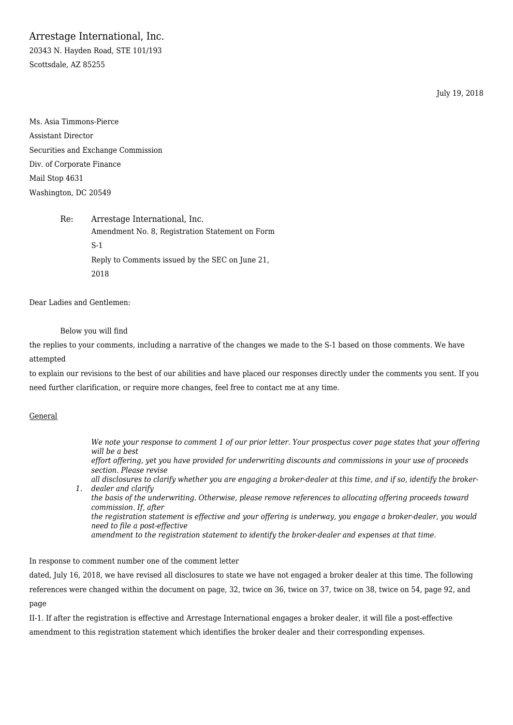Arrestage International, Inc.

20343 N. Hayden Road, STE 101/193 Scottsdale, AZ 85255

July 19, 2018

Ms. Asia Timmons-Pierce Assistant Director Securities and Exchange Commission Div. of Corporate Finance Mail Stop 4631 Washington, DC 20549

> Re: Arrestage International, Inc. Amendment No. 8, Registration Statement on Form S-1 Reply to Comments issued by the SEC on June 21, 2018

Dear Ladies and Gentlemen:

Below you will find

the replies to your comments, including a narrative of the changes we made to the S-1 based on those comments. We have attempted

to explain our revisions to the best of our abilities and have placed our responses directly under the comments you sent. If you need further clarification, or require more changes, feel free to contact me at any time.

### General

*1. dealer and clarify We note your response to comment 1 of our prior letter. Your prospectus cover page states that your offering will be a best effort offering, yet you have provided for underwriting discounts and commissions in your use of proceeds section. Please revise all disclosures to clarify whether you are engaging a broker-dealer at this time, and if so, identify the brokerthe basis of the underwriting. Otherwise, please remove references to allocating offering proceeds toward commission. If, after the registration statement is effective and your offering is underway, you engage a broker-dealer, you would need to file a post-effective amendment to the registration statement to identify the broker-dealer and expenses at that time.*

In response to comment number one of the comment letter

dated, July 16, 2018, we have revised all disclosures to state we have not engaged a broker dealer at this time. The following references were changed within the document on page, 32, twice on 36, twice on 37, twice on 38, twice on 54, page 92, and page

II-1. If after the registration is effective and Arrestage International engages a broker dealer, it will file a post-effective amendment to this registration statement which identifies the broker dealer and their corresponding expenses.